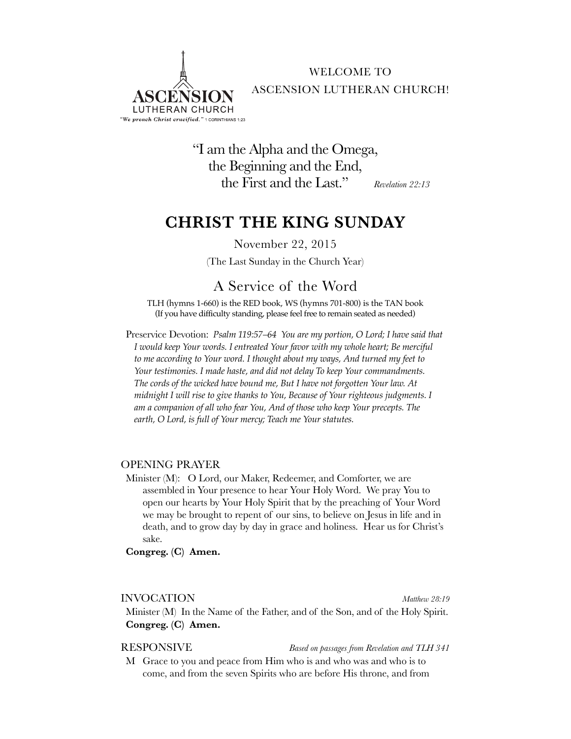

WELCOME TO ASCENSION LUTHERAN CHURCH!

"I am the Alpha and the Omega, the Beginning and the End, the First and the Last." *Revelation 22:13*

## **CHRIST THE KING SUNDAY**

November 22, 2015

(The Last Sunday in the Church Year)

## A Service of the Word

TLH (hymns 1-660) is the RED book, WS (hymns 701-800) is the TAN book (If you have difficulty standing, please feel free to remain seated as needed)

Preservice Devotion: *Psalm 119:57–64 You are my portion, O Lord; I have said that I would keep Your words. I entreated Your favor with my whole heart; Be merciful to me according to Your word. I thought about my ways, And turned my feet to Your testimonies. I made haste, and did not delay To keep Your commandments. The cords of the wicked have bound me, But I have not forgotten Your law. At midnight I will rise to give thanks to You, Because of Your righteous judgments. I am a companion of all who fear You, And of those who keep Your precepts. The earth, O Lord, is full of Your mercy; Teach me Your statutes.* 

### OPENING PRAYER

Minister (M): O Lord, our Maker, Redeemer, and Comforter, we are assembled in Your presence to hear Your Holy Word. We pray You to open our hearts by Your Holy Spirit that by the preaching of Your Word we may be brought to repent of our sins, to believe on Jesus in life and in death, and to grow day by day in grace and holiness. Hear us for Christ's sake.

**Congreg. (C) Amen.**

#### INVOCATION *Matthew 28:19*

Minister (M) In the Name of the Father, and of the Son, and of the Holy Spirit. **Congreg. (C) Amen.**

RESPONSIVE *Based on passages from Revelation and TLH 341*

M Grace to you and peace from Him who is and who was and who is to come, and from the seven Spirits who are before His throne, and from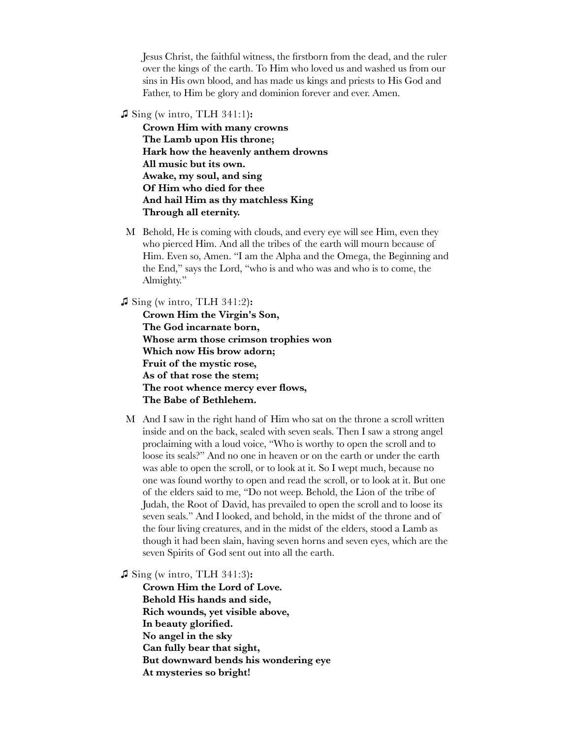Jesus Christ, the faithful witness, the firstborn from the dead, and the ruler over the kings of the earth. To Him who loved us and washed us from our sins in His own blood, and has made us kings and priests to His God and Father, to Him be glory and dominion forever and ever. Amen.

**♫** Sing **(**w intro, TLH 341:1**):**

**Crown Him with many crowns The Lamb upon His throne; Hark how the heavenly anthem drowns All music but its own. Awake, my soul, and sing Of Him who died for thee And hail Him as thy matchless King Through all eternity.**

M Behold, He is coming with clouds, and every eye will see Him, even they who pierced Him. And all the tribes of the earth will mourn because of Him. Even so, Amen. "I am the Alpha and the Omega, the Beginning and the End," says the Lord, "who is and who was and who is to come, the Almighty."

**♫** Sing **(**w intro, TLH 341:2**):**

**Crown Him the Virgin's Son, The God incarnate born, Whose arm those crimson trophies won Which now His brow adorn; Fruit of the mystic rose, As of that rose the stem; The root whence mercy ever flows, The Babe of Bethlehem.**

M And I saw in the right hand of Him who sat on the throne a scroll written inside and on the back, sealed with seven seals. Then I saw a strong angel proclaiming with a loud voice, "Who is worthy to open the scroll and to loose its seals?" And no one in heaven or on the earth or under the earth was able to open the scroll, or to look at it. So I wept much, because no one was found worthy to open and read the scroll, or to look at it. But one of the elders said to me, "Do not weep. Behold, the Lion of the tribe of Judah, the Root of David, has prevailed to open the scroll and to loose its seven seals." And I looked, and behold, in the midst of the throne and of the four living creatures, and in the midst of the elders, stood a Lamb as though it had been slain, having seven horns and seven eyes, which are the seven Spirits of God sent out into all the earth.

**♫** Sing **(**w intro, TLH 341:3**):**

**Crown Him the Lord of Love. Behold His hands and side, Rich wounds, yet visible above, In beauty glorified. No angel in the sky Can fully bear that sight, But downward bends his wondering eye At mysteries so bright!**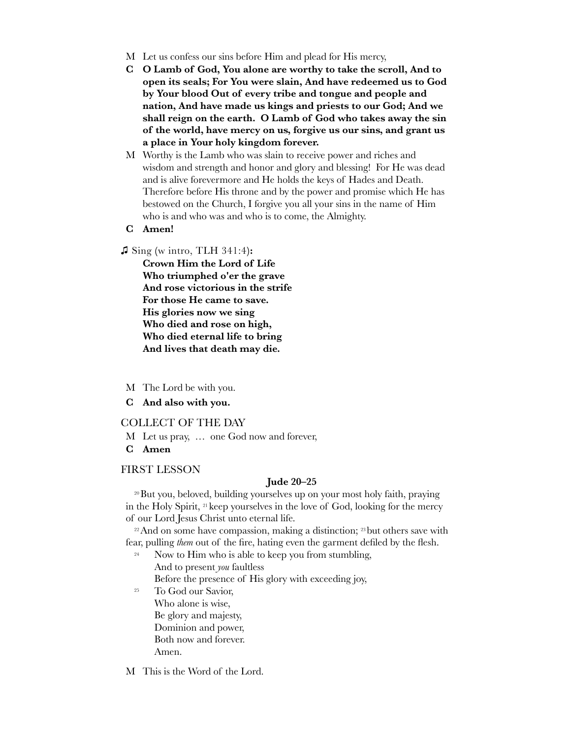- M Let us confess our sins before Him and plead for His mercy,
- **C O Lamb of God, You alone are worthy to take the scroll, And to open its seals; For You were slain, And have redeemed us to God by Your blood Out of every tribe and tongue and people and nation, And have made us kings and priests to our God; And we shall reign on the earth. O Lamb of God who takes away the sin of the world, have mercy on us, forgive us our sins, and grant us a place in Your holy kingdom forever.**
- M Worthy is the Lamb who was slain to receive power and riches and wisdom and strength and honor and glory and blessing! For He was dead and is alive forevermore and He holds the keys of Hades and Death. Therefore before His throne and by the power and promise which He has bestowed on the Church, I forgive you all your sins in the name of Him who is and who was and who is to come, the Almighty.
- **C Amen!**

#### **♫** Sing **(**w intro, TLH 341:4**):**

**Crown Him the Lord of Life Who triumphed o'er the grave And rose victorious in the strife For those He came to save. His glories now we sing Who died and rose on high, Who died eternal life to bring And lives that death may die.**

- M The Lord be with you.
- **C And also with you.**

#### COLLECT OF THE DAY

- M Let us pray, … one God now and forever,
- **C Amen**

#### FIRST LESSON

#### **Jude 20–25**

20But you, beloved, building yourselves up on your most holy faith, praying in the Holy Spirit, 21 keep yourselves in the love of God, looking for the mercy of our Lord Jesus Christ unto eternal life.

<sup>22</sup> And on some have compassion, making a distinction; <sup>23</sup> but others save with fear, pulling *them* out of the fire, hating even the garment defiled by the flesh.

<sup>24</sup> Now to Him who is able to keep you from stumbling, And to present *you* faultless

Before the presence of His glory with exceeding joy,

<sup>25</sup> To God our Savior, Who alone is wise, Be glory and majesty, Dominion and power, Both now and forever. Amen.

M This is the Word of the Lord.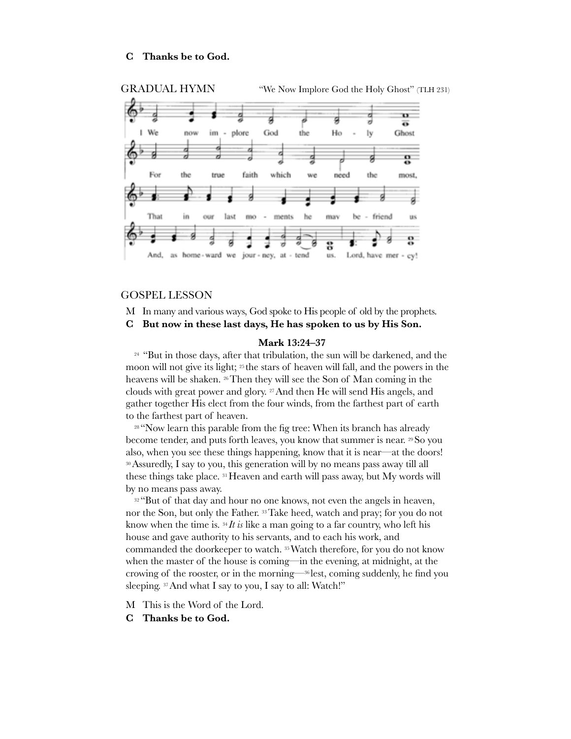#### **C Thanks be to God.**



#### GOSPEL LESSON

M In many and various ways, God spoke to His people of old by the prophets.

**C But now in these last days, He has spoken to us by His Son.**

#### **Mark 13:24–37**

<sup>24</sup> "But in those days, after that tribulation, the sun will be darkened, and the moon will not give its light; 25 the stars of heaven will fall, and the powers in the heavens will be shaken. 26Then they will see the Son of Man coming in the clouds with great power and glory. 27And then He will send His angels, and gather together His elect from the four winds, from the farthest part of earth to the farthest part of heaven.

<sup>28</sup> "Now learn this parable from the fig tree: When its branch has already become tender, and puts forth leaves, you know that summer is near. 29So you also, when you see these things happening, know that it is near—at the doors! 30Assuredly, I say to you, this generation will by no means pass away till all these things take place. <sup>31</sup> Heaven and earth will pass away, but My words will by no means pass away.

<sup>32</sup> "But of that day and hour no one knows, not even the angels in heaven, nor the Son, but only the Father. 33Take heed, watch and pray; for you do not know when the time is. 34 *It is* like a man going to a far country, who left his house and gave authority to his servants, and to each his work, and commanded the doorkeeper to watch. 35Watch therefore, for you do not know when the master of the house is coming—in the evening, at midnight, at the crowing of the rooster, or in the morning—36 lest, coming suddenly, he find you sleeping. <sup>37</sup> And what I say to you, I say to all: Watch!"

M This is the Word of the Lord.

**C Thanks be to God.**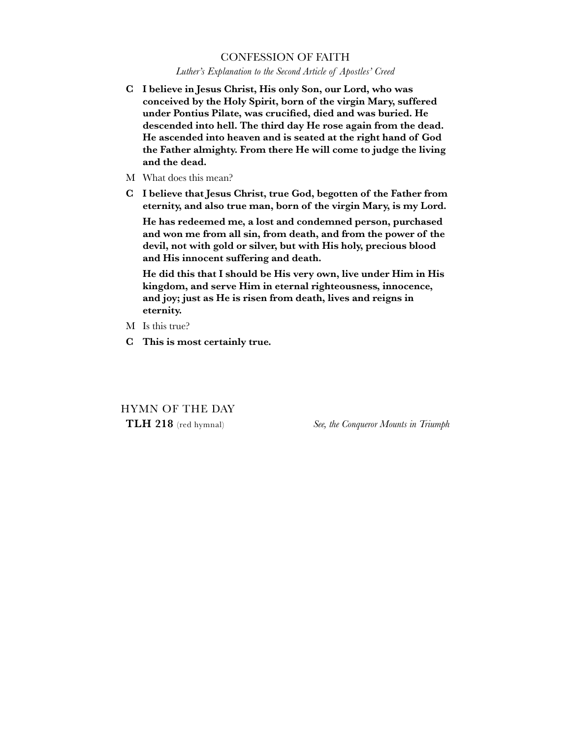#### CONFESSION OF FAITH

*Luther's Explanation to the Second Article of Apostles' Creed*

- **C I believe in Jesus Christ, His only Son, our Lord, who was conceived by the Holy Spirit, born of the virgin Mary, suffered under Pontius Pilate, was crucified, died and was buried. He descended into hell. The third day He rose again from the dead. He ascended into heaven and is seated at the right hand of God the Father almighty. From there He will come to judge the living and the dead.**
- M What does this mean?
- **C I believe that Jesus Christ, true God, begotten of the Father from eternity, and also true man, born of the virgin Mary, is my Lord.**

**He has redeemed me, a lost and condemned person, purchased and won me from all sin, from death, and from the power of the devil, not with gold or silver, but with His holy, precious blood and His innocent suffering and death.**

**He did this that I should be His very own, live under Him in His kingdom, and serve Him in eternal righteousness, innocence, and joy; just as He is risen from death, lives and reigns in eternity.**

- M Is this true?
- **C This is most certainly true.**

HYMN OF THE DAY

**TLH 218** (red hymnal) *See, the Conqueror Mounts in Triumph*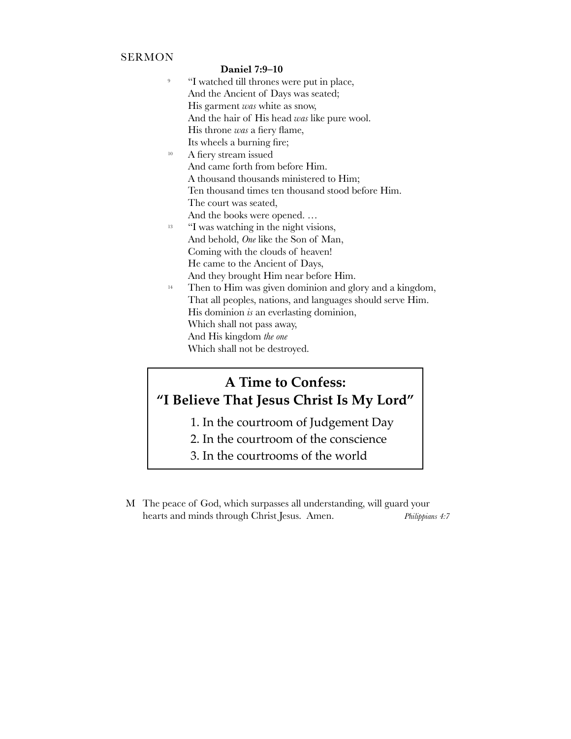### SERMON

#### **Daniel 7:9–10**

| 9               | "I watched till thrones were put in place,                 |
|-----------------|------------------------------------------------------------|
|                 | And the Ancient of Days was seated;                        |
|                 | His garment was white as snow,                             |
|                 | And the hair of His head was like pure wool.               |
|                 | His throne was a fiery flame,                              |
|                 | Its wheels a burning fire;                                 |
| 10 <sup>°</sup> | A fiery stream issued                                      |
|                 | And came forth from before Him.                            |
|                 | A thousand thousands ministered to Him;                    |
|                 | Ten thousand times ten thousand stood before Him.          |
|                 | The court was seated,                                      |
|                 | And the books were opened                                  |
| 13              | "I was watching in the night visions,                      |
|                 | And behold, <i>One</i> like the Son of Man,                |
|                 | Coming with the clouds of heaven!                          |
|                 | He came to the Ancient of Days,                            |
|                 | And they brought Him near before Him.                      |
| 14              | Then to Him was given dominion and glory and a kingdom,    |
|                 | That all peoples, nations, and languages should serve Him. |
|                 | His dominion $\dot{s}$ an everlasting dominion,            |
|                 | Which shall not pass away,                                 |
|                 | And His kingdom the one                                    |
|                 | Which shall not be destroyed.                              |

# **A Time to Confess: "I Believe That Jesus Christ Is My Lord"**

- 1. In the courtroom of Judgement Day
- 2. In the courtroom of the conscience
- 3. In the courtrooms of the world
- M The peace of God, which surpasses all understanding, will guard your hearts and minds through Christ Jesus. Amen. *Philippians 4:7*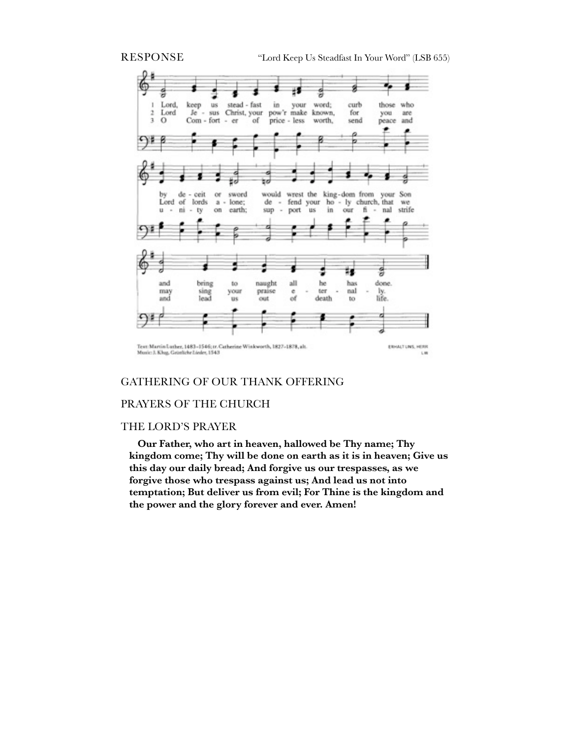

#### GATHERING OF OUR THANK OFFERING

#### PRAYERS OF THE CHURCH

#### THE LORD'S PRAYER

**Our Father, who art in heaven, hallowed be Thy name; Thy kingdom come; Thy will be done on earth as it is in heaven; Give us this day our daily bread; And forgive us our trespasses, as we forgive those who trespass against us; And lead us not into temptation; But deliver us from evil; For Thine is the kingdom and the power and the glory forever and ever. Amen!**